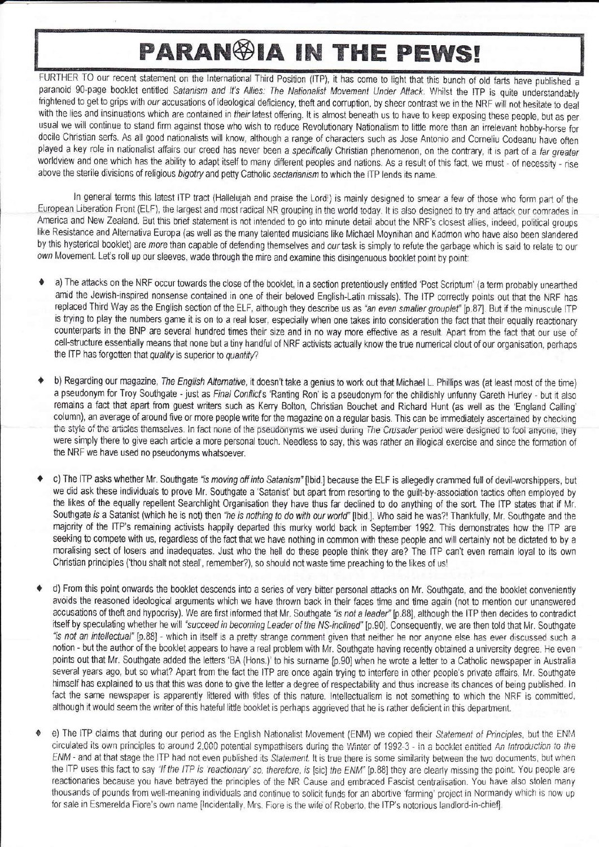## PARAN@IA !N THE PEWSI

FURTHER TO our recent statement on the International Third Position (ITP), it has come to light that this bunch of old farts have published a paranoid 90-page booklet entitled Satanism and It's Allies: The Nationalist Movement Under Attack. Whilst the ITP is quite understandably frightened to get to grips with our accusations of ideological deficiency, theft and corruption, by sheer contrast we in the NRF will not hesitate to deal with the lies and insinuations which are contained in their latest offering. It is almost beneath us to have to keep exposing these people, but as per usual we will continue to stand firm against those who wish to reduce Revolutionary Nationalism to little more than an irrelevant hobby-horse for docile Christian serfs. As all good nationalists will know, although a range of characters such as Jose Antonio and Corneliu Codeanu have often played a key role in nationalist affairs our creed has never been a specifically Christian phenomenon, on the contrary, it is part of a far greater worldview and one which has the ability to adapt itself to many different peoples and nations. As a result of this fact, we must - of necessity - rise above the sterile divisions of religious bigotry and petty Catholic sectarianism to which the ITP lends its name.

ln general terms this latest ITP tract (Hallelujah and praise the Lordi) is mainly designed to smear a few of those who form part of the European Liberation Front (ELF), the largest and most radical NR grouping in the world today. It is also designed to try and attack our comrades in America and New Zealand. But this brief statement is not intended to go into minute detail about the NRF's closest allies, indeed, political groups like Resistance and Alternativa Europa (as well as the many talented musicians like Michael Moynihan and Kadmon who have also been slandered by this hysterical booklet) are more than capable of defending themselves and our task is simply to refute the garbage which is said to relate to our own Movement. Let's roll up our sleeves, wade through the mire and examine this disingenuous booklet point by point:

- a) The attacks on the NRF occur towards the close of the booklet, in a section pretentiously entitled 'Post Scriptum' (a term probably unearthed amid the Jewish-inspired nonsense contained in one of their beloved English-Latin missals). The ITP correcfly points out that the NRF has replaced Third Way as the English section of the ELF, although they describe us as "an even smaller grouplet" [p.87]. But if the minuscule ITP is trying to play the numbers game it is on to a real loser, especially when one takes into consideration the fact that their equally reactionary counterparts in the BNP are several hundred tinres their size and in no way more effective as a result. Apart from the fact that our use of cell-sfucture essentially means that none but a tiny handful of NRF activists actually know the true numencal clout of our organisation, perhaps the ITP has forgotten that quality is superior to quantity?
- b) Regarding our magazine, The English Altemative, it doesn't take a genius to work out that Michael L. Phillips was (at least most of the time) a pseudonym for Troy Southgate - just as Final Conflict's 'Ranting Ron' is a pseudonym for the childishly unfunny Gareth Hurley - but it also remains a fact that apart from guest writers such as Kerry Bolton, Christian Bouchet and Richard Hunt (as well as the 'England Calling' column), an average of around five or more people write for the magazine on a regular basis. This can be immediately ascertained by checking the style of the articles themselves. In fact none of the pseudonyms we used during The Crusader period were designed to fool anyone, they were simply there to give each article a more personal touch. Needless to say, this was rather an illogical exercise and since the formation of the NRF we have used no pseudonyms whatsoever.
- c) The ITP asks whether Mr. Southgate "is moving off into Satanism" [Ibid.] because the ELF is allegedly crammed full of devil-worshippers, but we did ask these individuals to prove Mr. Southgate a 'Satanist' but apart from resorting to the guilt-by-association tactics often employed by the likes of the equally repellent Searchlight Organisation they have thus far declined to do anything of the sort. The ITP states that if Mr. Southgate is a Satanist (which he is not) then "he is nothing to do with our world" [Ibid.]. Who said he was?! Thankfully, Mr. Southgate and the majority of the ITP's remaining activists happily departed this murky world back in September 1992. This demonstrates how the ITP are seeking to compete with us, regardless of the fact that we have nothing in common with these people and will certainly not be dictated to by a moralising sect of losers and inadequaies. Just who the hell do these people think they are? The ITP can't even remain loyal to its own Christian principles ('thou shalt not steal', remember?), so should not waste time preaching to the likes of us!
- d) From this point onwards the booklet descends into a series of very bitter personal attacks on Mr. Southgate, and the booklet convenienty avoids the reasoned ideological arguments which we have thrown back in their faces time and time again (not to mention our unanswered accusations of theft and hypocrisy). We are first informed that Mr. Southgate "is not a leader" [p.88], although the ITP then decides to contradict itself by speculating whether he will "succeed in becoming Leader of the NS-inclined" [p.90]. Consequently, we are then told that Mr. Southgate "is not an intellectual" [p.88] - which in itself is a pretty strange comment given that neither he nor anyone else has ever discussed such a notion - but the author of the booklet appears to have a real problem with Mr. Southgate having recently obtained a university degree. He even points out that Mr. Southgate added the letters 'BA (Hons.)' to his surname [p.90] when he wrote a letter to a Catholic newspaper in Australia several years ago, but so what? Apart from the fact the ITP are once again trying to interfere in other people's private affairs. Mr. Southgate himself has explained to us that this was done to give the letter a degree of respectability and thus increase its chances of being published. ln fact the same newspaper is apparently littered with titles of this nature. Intellectualism is not something to which the NRF is committed, although it would seem the writer of this hateful litfle booklet is perhaps aggrieved that he is rather deficient in this department.
- e) The ITP claims that during our period as the English Nationalist Movement (ENM) we copied their Statement of Principles, but the ENM circulated its own principles to around 2,000 potential sympathisers during the Winter of 1992-3 - in a booklet entitled An Introduction to the ENM - and at that stage the ITP had not even published its Statement. It is true there is some similarity between the two documents, but when the ITP uses this fact to say "If the ITP is 'reactionary' so, therefore, is [sic] the ENM" [p.88] they are clearly missing the point. You people are reactionaries because you have betrayed the principles of the NR Cause and embraced Fascist centralisation. You have also stolen many thousands of pounds from well-meaning individuals and continue to solicit funds for an abortive 'farming' project in Normandy which is now up for sale in Esmerelda Fiore's own name [Incidentally, Mrs. Fiore is the wife of Roberto, the ITP's notorious landlord-in-chief].